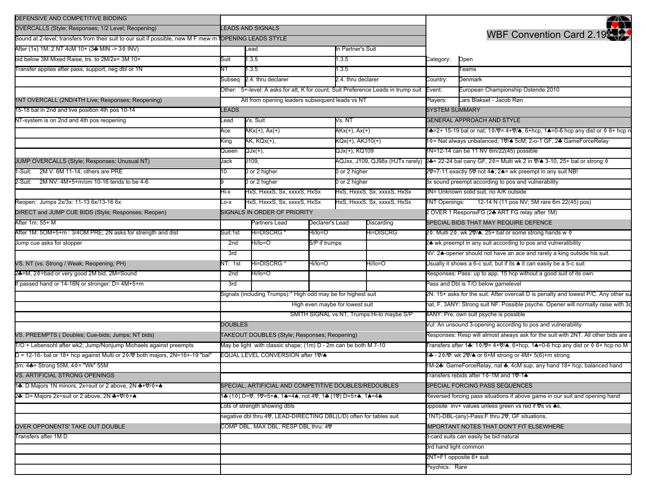| DEFENSIVE AND COMPETITIVE BIDDING                                                                       |                                                                     |                                                                                   |        |                                        |                                                                             |                                                                                        | Ń                                                                                  |  |
|---------------------------------------------------------------------------------------------------------|---------------------------------------------------------------------|-----------------------------------------------------------------------------------|--------|----------------------------------------|-----------------------------------------------------------------------------|----------------------------------------------------------------------------------------|------------------------------------------------------------------------------------|--|
| OVERCALLS (Style; Responses; 1/2 Level; Reopening)                                                      | <b>LEADS AND SIGNALS</b>                                            |                                                                                   |        |                                        |                                                                             |                                                                                        |                                                                                    |  |
| Sound at 2-level; transfers from their suit to our suit if possible, new M F mew m IOPENING LEADS STYLE |                                                                     |                                                                                   |        |                                        |                                                                             |                                                                                        | <b>WBF Convention Card 2.19</b>                                                    |  |
| After (1x) 1M: 2 NT 4cM 10+ (3♣ MIN -> 3♦ INV)                                                          | In Partner's Suit<br>Lead                                           |                                                                                   |        |                                        |                                                                             |                                                                                        |                                                                                    |  |
| bid below 3M Mixed Raise, trs. to 2M/2x= 3M 10+                                                         | Suit                                                                | 1.3.5                                                                             |        | 1.3.5                                  |                                                                             | Category:                                                                              | Open                                                                               |  |
| Transfer applies after pass, support, neg dbl or 1N                                                     | NT                                                                  | 1.3.5                                                                             |        | 1.3.5                                  |                                                                             |                                                                                        | Teams                                                                              |  |
|                                                                                                         | Subseq                                                              | 2.4. thru declarer                                                                |        | 2.4. thru declarer                     |                                                                             | Country:                                                                               | Denmark                                                                            |  |
|                                                                                                         |                                                                     | Other: 5+-level: A asks for att, K for count, Suit Preference Leads in trump suit |        |                                        |                                                                             | Event:                                                                                 | European Championship Ostende 2010                                                 |  |
| 1NT OVERCALL (2ND/4TH Live; Responses; Reopening)                                                       | Att from opening leaders subsequent leads vs NT                     |                                                                                   |        |                                        |                                                                             | Players:                                                                               | Lars Blakset - Jacob Røn                                                           |  |
| 15-18 bal in 2nd and live position 4th pos 10-14                                                        | <b>LEADS</b>                                                        |                                                                                   |        |                                        |                                                                             | <b>SYSTEM SUMMARY</b>                                                                  |                                                                                    |  |
| NT-system is on 2nd and 4th pos reopening                                                               | Vs. Suit<br>Lead                                                    |                                                                                   | Vs. NT |                                        | <b>GENERAL APPROACH AND STYLE</b>                                           |                                                                                        |                                                                                    |  |
|                                                                                                         | Ace                                                                 | AKx(+), Ax(+)                                                                     |        | AKx(+), Ax(+)                          |                                                                             | i♣=2+ 15-19 bal or nat; 1◊/♡= 4+♡/♠, 6+hcp, 1♠=0-6 hcp any dist or ◊ 6+ hcp n          |                                                                                    |  |
|                                                                                                         | King                                                                | AK, KQx(+),                                                                       |        | KQx(+), AKJ10(+)                       |                                                                             | 1 0 = Nat always unbalanced; 1 \/ 5cM; 2-o-1 GF, 2 ± Game Force Relay                  |                                                                                    |  |
|                                                                                                         | Queen                                                               | QJx(+),                                                                           |        | QJx(+), KQ109                          |                                                                             | 1N=12-14 can be 11 NV 6m/22(45) possible                                               |                                                                                    |  |
| JUMP OVERCALLS (Style; Responses; Unusual NT)                                                           | Jack                                                                | J109,                                                                             |        |                                        | AQJxx, J109, QJ98x (HJTx rarely)                                            | 24= 22-24 bal oany GF, 20= Multi wk 2 in $\sqrt{8}$ 3-10, 25+ bal or strong $\sqrt{6}$ |                                                                                    |  |
| -Suit: 2M V: 6M 11-14; others are PRE                                                                   | 10                                                                  | 0 or 2 higher                                                                     |        | 0 or 2 higher                          |                                                                             | 20 = 7-11 exactly 50 not 4▲; 2▲ = wk preempt in any suit NB!                           |                                                                                    |  |
| 2-Suit: 2M NV: 4M+5+m/om 10-16 tends to be 4-6                                                          |                                                                     | 0 or 2 higher                                                                     |        |                                        | 0 or 2 higher                                                               |                                                                                        | 3x sound preempt according to pos and vulnerability                                |  |
|                                                                                                         | Hi-x                                                                | HxS, HxxxS, Sx, xxxxS, HxSx                                                       |        | HxS, HxxxS, Sx, xxxxS, HxSx            |                                                                             | 3N= Unknown solid suit, no A/K outside                                                 |                                                                                    |  |
| Reopen: Jumps 2x/3x: 11-13 6x/13-16 6x                                                                  | $-0-X$                                                              | HxS, HxxxS, Sx, xxxxS, HxSx                                                       |        |                                        | HxS, HxxxS, Sx, xxxxS, HxSx                                                 |                                                                                        | 12-14 N (11 pos NV; 5M rare 6m 22(45) pos)<br>1NT Openings:                        |  |
| DIRECT and JUMP CUE BIDS (Style; Responses; Reopen)                                                     | SIGNALS IN ORDER OF PRIORITY                                        |                                                                                   |        |                                        |                                                                             |                                                                                        | 2 OVER 1 ResponstFG (24 ART FG relay after 1M)                                     |  |
| After 1m: 55+ M                                                                                         |                                                                     | Partners Lead<br>Declarer's Lead<br>Discarding                                    |        |                                        | SPECIAL BIDS THAT MAY REQUIRE DEFENCE                                       |                                                                                        |                                                                                    |  |
| After 1M: 5OM+5+m: 3/4OM PRE; 2N asks for strength and dist                                             | Suit:1st                                                            | Hi=DISCRG *<br>Hi/lo=O                                                            |        |                                        | Hi=DISCRG                                                                   | 2♦: Multi 2♦, wk 2♥/♠, 25+ bal or some strong hands w ♦                                |                                                                                    |  |
| Jump cue asks for stopper                                                                               | Hi/lo=O<br>2nd<br>S/P if trumps<br>3rd                              |                                                                                   |        |                                        |                                                                             | 2▲ wk preempt in any suit according to pos and vulneralibility                         |                                                                                    |  |
|                                                                                                         |                                                                     |                                                                                   |        |                                        |                                                                             | NV: 24-opener should not have an ace and rarely a king outside his suit.               |                                                                                    |  |
| VS. NT (vs. Strong / Weak; Reopening; PH)                                                               | Hi=DISCRG *<br>Hi/lo=O<br>NT: 1st                                   |                                                                                   |        | Hi/lo=O                                |                                                                             | Jsually it shows a 6-c suit, but if its $\spadesuit$ it can easily be a 5-c suit       |                                                                                    |  |
| 2♣=M, 2♦=bad or very good 2M bid, 2M=Sound                                                              | Hi/lo=O<br>2nd                                                      |                                                                                   |        |                                        |                                                                             | Responses: Pass: up to app. 15 hcp without a good suit of its own.                     |                                                                                    |  |
| passed hand or 14-16N or stronger: D= 4M+5+m                                                            | 3rd                                                                 |                                                                                   |        | Pass and Dbl is T/O below gamelevel    |                                                                             |                                                                                        |                                                                                    |  |
|                                                                                                         | Signals (including Trumps):* High odd may be for highest suit       |                                                                                   |        |                                        |                                                                             | 2N: 15+ asks for the suit. After overcall D is penalty and lowest P/C. Any other su    |                                                                                    |  |
|                                                                                                         | High even maybe for lowest suit                                     |                                                                                   |        |                                        |                                                                             | nat, F. 3ANY: Strong suit NF. Possible psyche. Opener will normally raise with 3       |                                                                                    |  |
|                                                                                                         | SMITH SIGNAL vs NT, Trumps: Hi-lo maybe S/P                         |                                                                                   |        |                                        |                                                                             |                                                                                        | 4ANY: Pre, own suit psyche is possible                                             |  |
|                                                                                                         | <b>DOUBLES</b>                                                      |                                                                                   |        |                                        |                                                                             | Vul: An unsound 3-opening according to pos and vulnerability                           |                                                                                    |  |
| VS. PREEMPTS (Doubles; Cue-bids; Jumps; NT bids)                                                        | TAKEOUT DOUBLES (Style; Responses; Reopening)                       |                                                                                   |        |                                        |                                                                             |                                                                                        | Responses: Resp will almost always ask for the suit with 2NT. All other bids are a |  |
| T/O + Lebensohl after wk2; Jump/Nonjump Michaels against preempts                                       | May be light with classic shape; (1m) D - 2m can be both M 7-10     |                                                                                   |        |                                        |                                                                             |                                                                                        | Transfers after 1♣: 1◊/♡= 4+♡/♠, 6+hcp, 1♠=0-6 hcp any dist or ◊ 6+ hcp no M       |  |
| $D = 12-16$ - bal or 18+ hcp against Multi or 2 $\Diamond$ / $\Diamond$ both majors, 2N=16+-19 "bal"    | EQUAL LEVEL CONVERSION after 10%                                    |                                                                                   |        |                                        |                                                                             |                                                                                        | 1♣ - 2◊/♡: wk 2♡/♠ or 6+M strong or 4M+ 5(6)+m strong                              |  |
| 3m: 4♣= Strong 55M, 4♦= "Wk" 55M                                                                        |                                                                     |                                                                                   |        |                                        |                                                                             | IM-2♣: GameForceRelay, nat ♣, 4cM sup, any hand 18+ hcp, balanced hand                 |                                                                                    |  |
| VS. ARTIFICIAL STRONG OPENINGS                                                                          |                                                                     |                                                                                   |        |                                        |                                                                             | Transfers rebids after 1 0-1M and 1 0-1 <                                              |                                                                                    |  |
| 1♣: D Majors 1N minors, 2x=suit or 2 above, 2N ♣+♡/◊+♠                                                  | SPECIAL, ARTIFICIAL AND COMPETITIVE DOUBLES/REDOUBLES               |                                                                                   |        |                                        |                                                                             |                                                                                        | SPECIAL FORCING PASS SEQUENCES                                                     |  |
| 24: D= Majors 2x=suit or 2 above, 2N 4+\\the \\the ^+4                                                  | 1♣ (1◊) D=♡, 1♡=5+♠, 1♠=4♠, not 4♡, 1♣ (1♡) D=5+♠, 1♠=4♠            |                                                                                   |        |                                        | Reversed forcing pass situations if above game in our suit and opening hand |                                                                                        |                                                                                    |  |
|                                                                                                         | Lots of strength showing dbls                                       |                                                                                   |        |                                        |                                                                             | opposite inv+ values unless green vs red if Vs vs +s,                                  |                                                                                    |  |
|                                                                                                         | negative dbl thru 4V, LEAD-DIRECTING DBL(L/D) often for tables suit |                                                                                   |        |                                        |                                                                             | (1NT)-DBL-(any)-Pass:F thru 2♡, GF situations,                                         |                                                                                    |  |
| OVER OPPONENTS' TAKE OUT DOUBLE                                                                         | COMP DBL, MAX DBL, RESP DBL thru: 4V                                |                                                                                   |        |                                        |                                                                             | <b>IMPORTANT NOTES THAT DON'T FIT ELSEWHERE</b>                                        |                                                                                    |  |
| Transfers after 1M D                                                                                    |                                                                     |                                                                                   |        | 3-card suits can easily be bid natural |                                                                             |                                                                                        |                                                                                    |  |
|                                                                                                         |                                                                     |                                                                                   |        |                                        |                                                                             | 3rd hand light common                                                                  |                                                                                    |  |
|                                                                                                         |                                                                     |                                                                                   |        |                                        |                                                                             | 2NT=F1 opposite 6+ suit                                                                |                                                                                    |  |
|                                                                                                         |                                                                     |                                                                                   |        |                                        |                                                                             |                                                                                        | Psychics: Rare                                                                     |  |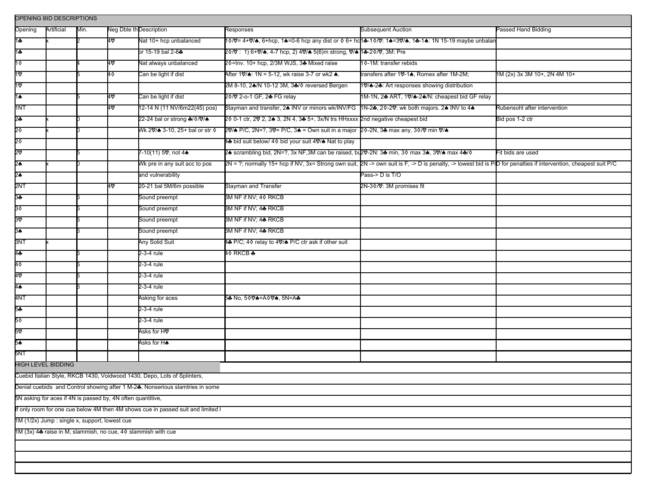| OPENING BID DESCRIPTIONS                                                         |                           |      |                         |                                                                          |                                                                                                                                              |                                                                                                                                                                  |                              |  |  |  |  |
|----------------------------------------------------------------------------------|---------------------------|------|-------------------------|--------------------------------------------------------------------------|----------------------------------------------------------------------------------------------------------------------------------------------|------------------------------------------------------------------------------------------------------------------------------------------------------------------|------------------------------|--|--|--|--|
| Opening                                                                          | Artificial                | Min. | Neg Dble th Description |                                                                          | Responses                                                                                                                                    | Subsequent Auction                                                                                                                                               | Passed Hand Bidding          |  |  |  |  |
| 1÷                                                                               |                           |      | 40                      | Nat 10+ hcp unbalanced                                                   |                                                                                                                                              | 1�/0= 4+0/♠, 6+hcp, 1♠=0-6 hcp any dist or ♦ 6+ hc <b>1</b> ♣-1�/0': 1♠=30/♠, 1♣-1♠: 1N 15-19 maybe unbalan                                                      |                              |  |  |  |  |
| 1♣                                                                               |                           |      |                         | or 15-19 bal 2-6♣                                                        | 2◊/♡: 1) 6+♡/♠, 4-7 hcp, 2) 4♡/♠ 5(6)m strong, ♡/♠ 11♣-2◊/♡, 3M: Pre                                                                         |                                                                                                                                                                  |                              |  |  |  |  |
| 1 ♦                                                                              |                           |      | 4∨                      | Nat always unbalanced                                                    | 20=Inv. 10+ hcp, 2/3M WJS, 3♣ Mixed raise                                                                                                    | 10-1M: transfer rebids                                                                                                                                           |                              |  |  |  |  |
| 1♡                                                                               |                           |      | 4♦                      | Can be light if dist                                                     | After 1 $\sqrt{a}$ : 1N = 5-12, wk raise 3-7 or wk2 $\clubsuit$ ,                                                                            | transfers after 1♡-1▲, Romex after 1M-2M;                                                                                                                        | 1M (2x) 3x 3M 10+, 2N 4M 10+ |  |  |  |  |
| 1ত                                                                               |                           |      |                         |                                                                          | 2M 8-10, 2♠/N 10-12 3M, 3♣/♦ reversed Bergen                                                                                                 | 10/4-24: Art responses showing distribution                                                                                                                      |                              |  |  |  |  |
| $1\spadesuit$                                                                    |                           |      | 4∨                      | Can be light if dist                                                     | 20/ 2-o-1 GF, 2♣ FG relay                                                                                                                    | 1M-1N, 24 ART, 10/4-24/N: cheapest bid GF relay                                                                                                                  |                              |  |  |  |  |
| 1NT                                                                              |                           |      | 40                      | 12-14 N (11 NV/6m22(45) pos)                                             | Stayman and transfer, 2 <sup>6</sup> INV or minors wk/INV/FG 1N-2 <sup>8</sup> , 20-20: wk both majors. 2 <sup>6</sup> INV to 4 <sup>8</sup> |                                                                                                                                                                  | Rubensohl after intervention |  |  |  |  |
| \$                                                                               |                           |      |                         | 22-24 bal or strong ♣/�/♡/♠                                              | 20 0-1 ctr, 20 2, 20 3, 2N 4, 30 5+, 3x/N trs HHxxxx 2nd negative cheapest bid                                                               |                                                                                                                                                                  | Bid pos 1-2 ctr              |  |  |  |  |
| 2♦                                                                               |                           |      |                         | Wk 20% 3-10, 25+ bal or str ♦                                            | 20/4 P/C, 2N=?, 30= P/C, 34 = Own suit in a major 20-2N, 34 max any, 30/0 min 0/4                                                            |                                                                                                                                                                  |                              |  |  |  |  |
| 2٥                                                                               |                           |      |                         |                                                                          | 4♣ bid suit below/ 4 0 bid your suit 4♡/♠ Nat to play                                                                                        |                                                                                                                                                                  |                              |  |  |  |  |
| 8                                                                                |                           |      |                         | 7-10(11) 5♡, not 4♠                                                      | 2▲ scrambling bid, 2N=?, 3x NF,3M can be raised, bu2V-2N: 3♣ min, 3◊ max 3♠, 3V/♠ max 4♣/◊                                                   |                                                                                                                                                                  | Fit bids are used            |  |  |  |  |
| 2♠                                                                               |                           |      |                         | Wk pre in any suit acc to pos                                            |                                                                                                                                              | 2N = ?; normally 15+ hcp if NV, 3x= Strong own suit, 2N -> own suit is F, -> D is penalty, -> lowest bid is P/D for penalties if intervention, cheapest suit P/C |                              |  |  |  |  |
| 2♠                                                                               |                           |      |                         | and vulnerability                                                        |                                                                                                                                              | Pass-> D is T/O                                                                                                                                                  |                              |  |  |  |  |
| 2NT                                                                              |                           |      | 4∨                      | 20-21 bal 5M/6m possible                                                 | Stayman and Transfer                                                                                                                         | 2N-3♦/♡: 3M promises fit                                                                                                                                         |                              |  |  |  |  |
| 9                                                                                |                           |      |                         | Sound preempt                                                            | 3M NF if NV; 4♦ RKCB                                                                                                                         |                                                                                                                                                                  |                              |  |  |  |  |
| 30                                                                               |                           |      |                         | Sound preempt                                                            | 3M NF if NV; 4♣ RKCB                                                                                                                         |                                                                                                                                                                  |                              |  |  |  |  |
| 3۵                                                                               |                           |      |                         | Sound preempt                                                            | 3M NF if NV; 4♣ RKCB                                                                                                                         |                                                                                                                                                                  |                              |  |  |  |  |
| 3♠                                                                               |                           |      |                         | Sound preempt                                                            | 3M NF if NV; 4♣ RKCB                                                                                                                         |                                                                                                                                                                  |                              |  |  |  |  |
| 3NT                                                                              |                           |      |                         | Any Solid Suit                                                           | 4♣ P/C; 4 orelay to 4 , P/C ctr ask if other suit                                                                                            |                                                                                                                                                                  |                              |  |  |  |  |
| 44                                                                               |                           |      |                         | 2-3-4 rule                                                               | 4♦ RKCB                                                                                                                                      |                                                                                                                                                                  |                              |  |  |  |  |
| 40                                                                               |                           |      |                         | 2-3-4 rule                                                               |                                                                                                                                              |                                                                                                                                                                  |                              |  |  |  |  |
| 40                                                                               |                           |      |                         | 2-3-4 rule                                                               |                                                                                                                                              |                                                                                                                                                                  |                              |  |  |  |  |
| 4♠                                                                               |                           |      |                         | 2-3-4 rule                                                               |                                                                                                                                              |                                                                                                                                                                  |                              |  |  |  |  |
| 4NT                                                                              |                           |      |                         | Asking for aces                                                          | 5♣ No, 50V♠=A0V♠, 5N=A♣                                                                                                                      |                                                                                                                                                                  |                              |  |  |  |  |
| 5÷                                                                               |                           |      |                         | 2-3-4 rule                                                               |                                                                                                                                              |                                                                                                                                                                  |                              |  |  |  |  |
| 5٥                                                                               |                           |      |                         | 2-3-4 rule                                                               |                                                                                                                                              |                                                                                                                                                                  |                              |  |  |  |  |
| 5⊽                                                                               |                           |      |                         | Asks for H♡                                                              |                                                                                                                                              |                                                                                                                                                                  |                              |  |  |  |  |
| 5♠                                                                               |                           |      |                         | Asks for H♠                                                              |                                                                                                                                              |                                                                                                                                                                  |                              |  |  |  |  |
| 5NT                                                                              |                           |      |                         |                                                                          |                                                                                                                                              |                                                                                                                                                                  |                              |  |  |  |  |
|                                                                                  | <b>HIGH LEVEL BIDDING</b> |      |                         |                                                                          |                                                                                                                                              |                                                                                                                                                                  |                              |  |  |  |  |
|                                                                                  |                           |      |                         | Cuebid Italian Style, RKCB 1430, Voidwood 1430, Depo, Lots of Splinters, |                                                                                                                                              |                                                                                                                                                                  |                              |  |  |  |  |
| Denial cuebids and Control showing after 1 M-2♣, Nonserious slamtries in some    |                           |      |                         |                                                                          |                                                                                                                                              |                                                                                                                                                                  |                              |  |  |  |  |
| 5N asking for aces if 4N is passed by, 4N often quantitive,                      |                           |      |                         |                                                                          |                                                                                                                                              |                                                                                                                                                                  |                              |  |  |  |  |
| If only room for one cue below 4M then 4M shows cue in passed suit and limited I |                           |      |                         |                                                                          |                                                                                                                                              |                                                                                                                                                                  |                              |  |  |  |  |
| 1M (1/2x) Jump : single x, support, lowest cue                                   |                           |      |                         |                                                                          |                                                                                                                                              |                                                                                                                                                                  |                              |  |  |  |  |
| 1M (3x) 4♣ raise in M, slammish, no cue, 4♦ slammish with cue                    |                           |      |                         |                                                                          |                                                                                                                                              |                                                                                                                                                                  |                              |  |  |  |  |
|                                                                                  |                           |      |                         |                                                                          |                                                                                                                                              |                                                                                                                                                                  |                              |  |  |  |  |
|                                                                                  |                           |      |                         |                                                                          |                                                                                                                                              |                                                                                                                                                                  |                              |  |  |  |  |
|                                                                                  |                           |      |                         |                                                                          |                                                                                                                                              |                                                                                                                                                                  |                              |  |  |  |  |